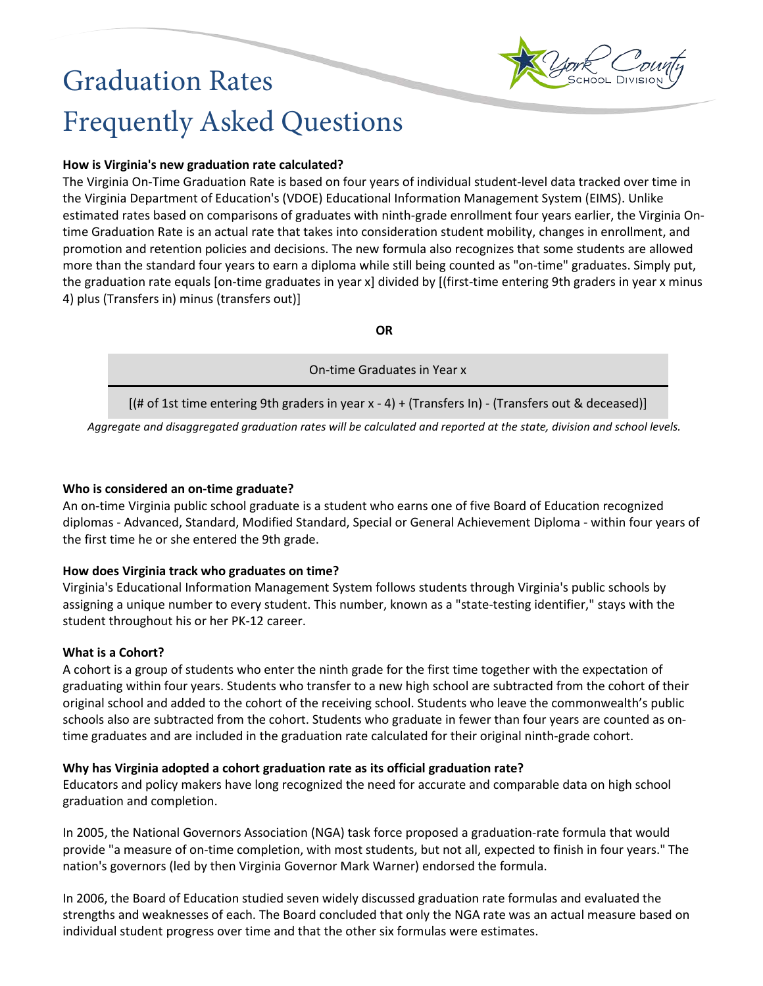

# Graduation Rates Frequently Asked Questions

## **How is Virginia's new graduation rate calculated?**

The Virginia On-Time Graduation Rate is based on four years of individual student-level data tracked over time in the Virginia Department of Education's (VDOE) Educational Information Management System (EIMS). Unlike estimated rates based on comparisons of graduates with ninth-grade enrollment four years earlier, the Virginia Ontime Graduation Rate is an actual rate that takes into consideration student mobility, changes in enrollment, and promotion and retention policies and decisions. The new formula also recognizes that some students are allowed more than the standard four years to earn a diploma while still being counted as "on-time" graduates. Simply put, the graduation rate equals [on-time graduates in year x] divided by [(first-time entering 9th graders in year x minus 4) plus (Transfers in) minus (transfers out)]

**OR**

| On-time Graduates in Year x                                                                          |
|------------------------------------------------------------------------------------------------------|
| $[(# of 1st time entering 9th graders in year x - 4) + (Transfers In) - (Transfers out & deceased)]$ |

*Aggregate and disaggregated graduation rates will be calculated and reported at the state, division and school levels.*

#### **Who is considered an on-time graduate?**

An on-time Virginia public school graduate is a student who earns one of five Board of Education recognized diplomas - Advanced, Standard, Modified Standard, Special or General Achievement Diploma - within four years of the first time he or she entered the 9th grade.

## **How does Virginia track who graduates on time?**

Virginia's Educational Information Management System follows students through Virginia's public schools by assigning a unique number to every student. This number, known as a "state-testing identifier," stays with the student throughout his or her PK-12 career.

## **What is a Cohort?**

A cohort is a group of students who enter the ninth grade for the first time together with the expectation of graduating within four years. Students who transfer to a new high school are subtracted from the cohort of their original school and added to the cohort of the receiving school. Students who leave the commonwealth's public schools also are subtracted from the cohort. Students who graduate in fewer than four years are counted as ontime graduates and are included in the graduation rate calculated for their original ninth-grade cohort.

## **Why has Virginia adopted a cohort graduation rate as its official graduation rate?**

Educators and policy makers have long recognized the need for accurate and comparable data on high school graduation and completion.

In 2005, the National Governors Association (NGA) task force proposed a graduation-rate formula that would provide "a measure of on-time completion, with most students, but not all, expected to finish in four years." The nation's governors (led by then Virginia Governor Mark Warner) endorsed the formula.

In 2006, the Board of Education studied seven widely discussed graduation rate formulas and evaluated the strengths and weaknesses of each. The Board concluded that only the NGA rate was an actual measure based on individual student progress over time and that the other six formulas were estimates.